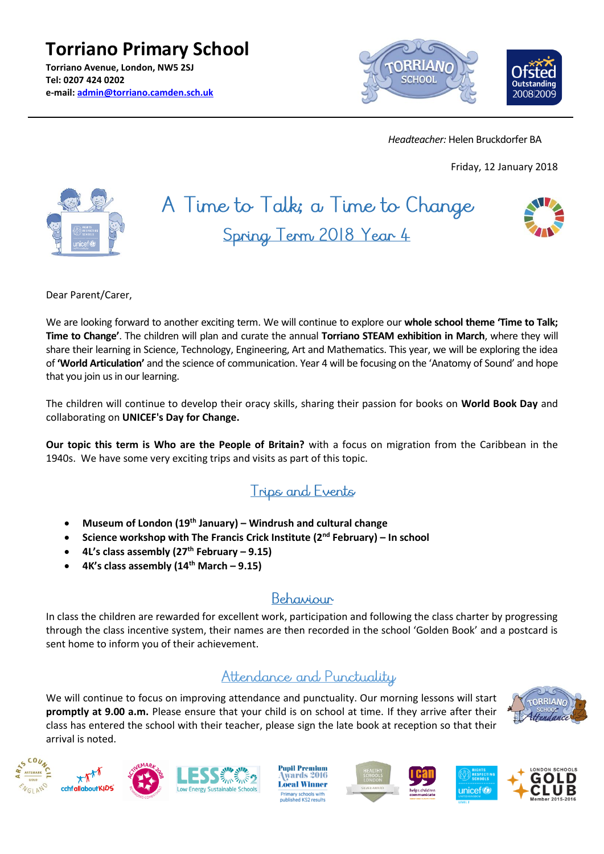**Torriano Primary School Torriano Avenue, London, NW5 2SJ Tel: 0207 424 0202 e-mail: [admin@torriano.camden.sch.uk](mailto:admin@torriano.camden.sch.uk)**



 *Headteacher:* Helen Bruckdorfer BA

Friday, 12 January 2018



# A Time to Talk; a Time to Change Spring Term 2018 Year 4



Dear Parent/Carer,

We are looking forward to another exciting term. We will continue to explore our **whole school theme 'Time to Talk; Time to Change'**. The children will plan and curate the annual **Torriano STEAM exhibition in March**, where they will share their learning in Science, Technology, Engineering, Art and Mathematics. This year, we will be exploring the idea of **'World Articulation'** and the science of communication. Year 4 will be focusing on the 'Anatomy of Sound' and hope that you join us in our learning.

The children will continue to develop their oracy skills, sharing their passion for books on **World Book Day** and collaborating on **UNICEF's Day for Change.**

**Our topic this term is Who are the People of Britain?** with a focus on migration from the Caribbean in the 1940s. We have some very exciting trips and visits as part of this topic.

## Trips and Events

- **Museum of London (19th January) – Windrush and cultural change**
- **Science workshop with The Francis Crick Institute (2nd February) – In school**
- **4L's class assembly (27th February – 9.15)**
- **4K's class assembly (14th March – 9.15)**

### Behaviour

In class the children are rewarded for excellent work, participation and following the class charter by progressing through the class incentive system, their names are then recorded in the school 'Golden Book' and a postcard is sent home to inform you of their achievement.

### Attendance and Punctuality

We will continue to focus on improving attendance and punctuality. Our morning lessons will start **promptly at 9.00 a.m.** Please ensure that your child is on school at time. If they arrive after their class has entered the school with their teacher, please sign the late book at reception so that their arrival is noted.















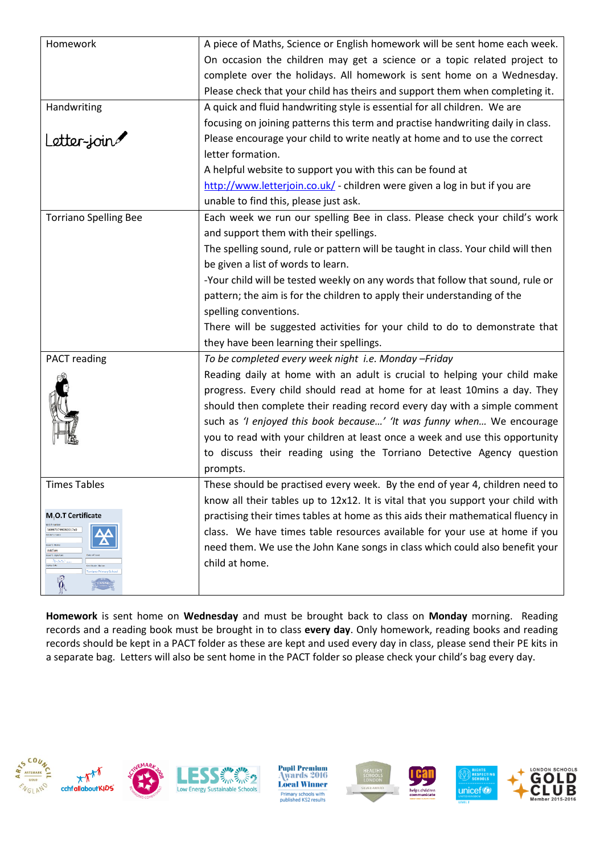| Homework                                                                                                                                                 | A piece of Maths, Science or English homework will be sent home each week.        |
|----------------------------------------------------------------------------------------------------------------------------------------------------------|-----------------------------------------------------------------------------------|
|                                                                                                                                                          | On occasion the children may get a science or a topic related project to          |
|                                                                                                                                                          | complete over the holidays. All homework is sent home on a Wednesday.             |
|                                                                                                                                                          | Please check that your child has theirs and support them when completing it.      |
| Handwriting                                                                                                                                              | A quick and fluid handwriting style is essential for all children. We are         |
|                                                                                                                                                          | focusing on joining patterns this term and practise handwriting daily in class.   |
| Letter-join                                                                                                                                              | Please encourage your child to write neatly at home and to use the correct        |
|                                                                                                                                                          | letter formation.                                                                 |
|                                                                                                                                                          | A helpful website to support you with this can be found at                        |
|                                                                                                                                                          | http://www.letterjoin.co.uk/ - children were given a log in but if you are        |
|                                                                                                                                                          | unable to find this, please just ask.                                             |
| <b>Torriano Spelling Bee</b>                                                                                                                             | Each week we run our spelling Bee in class. Please check your child's work        |
|                                                                                                                                                          | and support them with their spellings.                                            |
|                                                                                                                                                          | The spelling sound, rule or pattern will be taught in class. Your child will then |
|                                                                                                                                                          | be given a list of words to learn.                                                |
|                                                                                                                                                          | -Your child will be tested weekly on any words that follow that sound, rule or    |
|                                                                                                                                                          | pattern; the aim is for the children to apply their understanding of the          |
|                                                                                                                                                          | spelling conventions.                                                             |
|                                                                                                                                                          | There will be suggested activities for your child to do to demonstrate that       |
|                                                                                                                                                          | they have been learning their spellings.                                          |
| PACT reading                                                                                                                                             | To be completed every week night i.e. Monday - Friday                             |
|                                                                                                                                                          | Reading daily at home with an adult is crucial to helping your child make         |
|                                                                                                                                                          | progress. Every child should read at home for at least 10mins a day. They         |
|                                                                                                                                                          | should then complete their reading record every day with a simple comment         |
|                                                                                                                                                          | such as 'I enjoyed this book because' 'It was funny when We encourage             |
|                                                                                                                                                          | you to read with your children at least once a week and use this opportunity      |
|                                                                                                                                                          | to discuss their reading using the Torriano Detective Agency question             |
|                                                                                                                                                          | prompts.                                                                          |
| <b>Times Tables</b>                                                                                                                                      | These should be practised every week. By the end of year 4, children need to      |
|                                                                                                                                                          | know all their tables up to 12x12. It is vital that you support your child with   |
| M <sub>1</sub> O.T Certificate                                                                                                                           | practising their times tables at home as this aids their mathematical fluency in  |
| 569973799092017x0<br>older's nam<br>suer's Nam<br>Add'en<br>uer's signa<br>Salat 2<br>spiry date<br><b>Certificate Station</b><br>orriano Primary School | class. We have times table resources available for your use at home if you        |
|                                                                                                                                                          | need them. We use the John Kane songs in class which could also benefit your      |
|                                                                                                                                                          | child at home.                                                                    |
| Ŏ                                                                                                                                                        |                                                                                   |
|                                                                                                                                                          |                                                                                   |

**Homework** is sent home on **Wednesday** and must be brought back to class on **Monday** morning. Reading records and a reading book must be brought in to class **every day**. Only homework, reading books and reading records should be kept in a PACT folder as these are kept and used every day in class, please send their PE kits in a separate bag. Letters will also be sent home in the PACT folder so please check your child's bag every day.





Pupil Premium<br>Awards 2016 **Local Winner Primary schools with<br>published KS2 results**